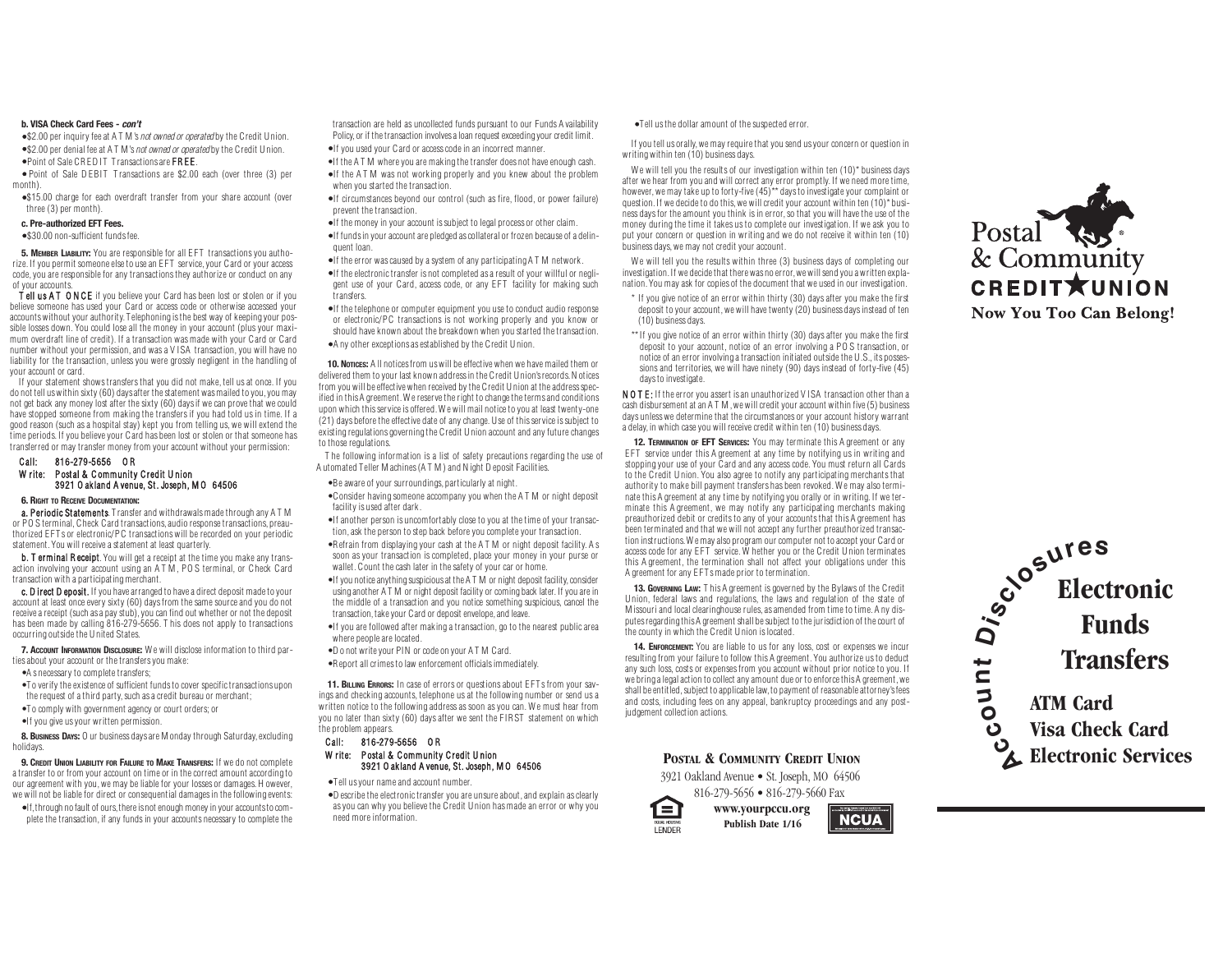## **b. VISA Check Card Fees - con't**

• \$2.00 per inquiry fee at A T M's not owned or operated by the Credit Union. • \$2.00 per denial fee at A T M's not owned or operated by the Credit Union. • Point of Sale CRED IT Transactions are FREE.

• Point of Sale D EBIT Transactions are \$2.00 each (over three (3) per month).

•\$15.00 charge for each overdraft transfer from your share account (over three (3) per month).

# **c. Pre-authorized EFT Fees.**

• \$30.00 non-sufficient fundsfee.

**5. MEMBER LIABILITY:** You are responsible for all E FT transactionsyou authorize. If you permit someone else to use an EFT service, your Card or your access code, you are responsible for any transactions they authorize or conduct on any of your accounts.

Tell us AT ONCE if you believe your Card has been lost or stolen or if you believe someone has used your Card or access code or otherwise accessed your accountswithout your authority. Telephoning isthe best way of keeping your possible losses down. You could lose all the money in your account (plusyour maximum overdraft line of credit). If <sup>a</sup> transaction was made with your Card or Card number without your permission, and wasa V ISA transaction, you will have no liability for the transaction, unless you were grossly negligent in the handling of your account or card.

If your statement showstransfersthat you did not make, tell usat once. If you do not tell uswithin sixty(60) daysafter thestatement wasmailed to you,you may not get back any money lost after thesixty (60) daysif wecan provethat wecould have stopped someone from making the transfersif you had told usin time. If <sup>a</sup> good reason (such asa hospital stay) kept you from telling us, we will extend the time periods. If you believe your Card has been lost or stolen or that someone has transferred or may transfer money from your account without your permission:

## Call: 816-279-5656 O R Write: Postal & Community Credit Union 3921 O akland A venue, St . Joseph, M O 64506

#### **6. RIGHT TO RECEIVE DOCUMENTATION:**

a. Periodic Statements. Transfer and withdrawals made through any A T M or PO S terminal, Check Card transactions,audio responsetransactions, preauthorized E FT <sup>s</sup> or electronic/PC transactions will be recorded on your periodic statement.You will receivea statement at least quarterly.

b. T erminal Receipt. You will get a receipt at the time you make any transaction involving your account using an A T M , PO S terminal, or Check Card transaction with <sup>a</sup> participatingmerchant.

c. D irect D eposit. If you have arranged to have a direct deposit made to your account at least once every sixty (60) daysfrom the same source and you do not receive a receipt (such as a pay stub), you can find out whether or not the deposit has been made by calling 816-279-5656. T his does not apply to transactions occurring outside the United States.

**7. ACCOUNT INFORMATION DISCLOSURE:** W <sup>e</sup> will disclose information to third parties about your account or the transfers you make:

- A s necessary to complete transfers;
- •To verify theexistence of sufficient fundsto cover specifictransactions upon the request of a third party, such as a credit bureau or merchant;
- •To comply with government agency or court orders; or
- •If you give usyour written permission.

**8. Business Days:** O ur business days are M onday through Saturday, excluding holidays.

**9. CREDIT UNION LIABILITY FOR FAILURE TO MAKE TRANSFERS:** If we do not complete atransfer to or from your account on time or in thecorrect amount according to our agreement with you, we may be liable for your losses or damages. H owever, we will not be liable for direct or consequential damages in the following events:

• If,through no fault of ours,thereisnot enough moneyin your accountsto complete the transaction, if any fundsin your accounts necessary to complete the

transaction are held as uncollected funds pursuant to our Funds A vailability Policy, or if the transaction involves a loan request exceeding your credit limit.

- If you used your Card or accesscodein an incorrect manner.
- •If the ATM where you are making the transfer does not have enough cash. • If the A T M was not working properly and you knew about the problem
- when you started the transaction. • If circumstances beyond our control (such as fire, flood, or power failure)
- prevent the transaction. • If the money in your account issubject to legal process or other claim. • If fundsin your account are pledged ascollateral or frozen because of <sup>a</sup> delinquent loan.
- If theerror wascaused by <sup>a</sup> system of any participating A T M network.
- If the electronic transfer is not completed as a result of your willful or negligent use of your Card, access code, or any EFT facility for making such transfers.
- If the telephone or computer equipment you use to conduct audio response or electronic/PC transactions is not working properly and you know or should have known about the breakdown when you started the transaction. • A ny other exceptionsasestablished by the Credit Union.

**10. Norices:** A II notices from us will be effective when we have mailed them or delivered them to your last known addressin the Credit Union'srecords.N otices from you will be effective when received by the Credit U nion at the address specified in this A greement. We reserve the right to change the terms and conditions upon which this service is offered. We will mail notice to you at least twenty-one (21) days before the effective date of any change. Use of this service is subject to existing regulations governing the Credit Union account and any futurechanges to those regulations.

T he following information is <sup>a</sup> list of safety precautions regarding the use of A utomated Teller Machines(A T M ) and N ight D eposit Facilities.

•Beaware of your surroundings, particularly at night.

- •Consider having someone accompany you when the A T M or night deposit facility is used after dark.
- •If another person is uncomfortably close to you at the time of your transaction, ask the person to step back before you complete your transaction.
- •R efrain from displaying your cash at the A T M or night deposit facility. A <sup>s</sup> soon as your transaction is completed, place your money in your purse or wallet. Count the cash later in the safety of your car or home.
- •If you notice anything suspicious at the A T M or night deposit facility, consider using another A T M or night deposit facility or coming back later. If you arein the middle of <sup>a</sup> transaction and you notice something suspicious, cancel the transaction, takeyour Card or deposit envelope,and leave.
- •If you are followed after making <sup>a</sup> transaction, go to the nearest publicarea where people are located
- •D <sup>o</sup> not writeyour PIN or code on your A T M Card.
- •R eport allcrimesto law enforcement officialsimmediately.

**11. BILLING ERRORS:** In case of errors or questions about EFT s from your savings and checking accounts, telephone us at the following number or send us a written notice to the following address as soon as you can. We must hear from you no later than sixty (60) daysafter we sent the FIR ST statement on which the problem appears.

## Call: 816-279-5656 O R W rite: Postal & Community Credit U nion 3921 O akland A venue, St. Joseph, M O 64506

• Tell usyour nameand account number.

 $\bullet$  D escribe the electronic transfer you are unsure about, and explain as clearly asyou can why you believe the Credit Union hasmade an error or why you need more information.

## • Tell usthe dollar amount of thesuspected error.

If you tell us orally,we may requirethat you send usyour concern or question in writing within ten (10) business days.

We will tell you the results of our investigation within ten (10)\* business days after we hear from you and will correct any error promptly. If we need more time, however, we may take up to forty-five (45)\*\* days to investigate your complaint or question. If we decide to do this, we will credit your account within ten  $(10)^*$  business daysfor the amount you think isin error,so that you will have the use of the money during the time it takes usto complete our investigation. If we ask you to put your concern or question in writing and we do not receive it within ten (10) business days, we may not credit your account.

We will tell you the results within three (3) business days of completing our investigation. If we decide that there was no error, we will send you a written explanation.You may ask for copies of the document that we used in our investigation.

\* If you give notice of an error within thirty (30) daysafter you make the first deposit to your account, we will have twenty (20) business days instead of ten (10) business days.

\*\* If you give notice of an error within thirty (30) days after you make the first deposit to your account, notice of an error involving <sup>a</sup> PO S transaction, or notice of an error involving <sup>a</sup> transaction initiated outsidethe U.S., its possessions and territories, we will have ninety (90) days instead of forty-five (45) daysto investigate.

N O T E: If the error you assert is an unauthorized V ISA transaction other than a cash disbursement at an A T M, we will credit your account within five (5) business days unless we determine that the circumstances or your account history warrant a delay, in which case you will receive credit within ten (10) business days.

**12. TERMINATION OF EFT SERVICES:** You may terminate this A greement or any E FT service under this A greement at any time by notifying us in writing and stopping your use of your Card and any accesscode. You must return all Cards to the Credit Union. You also agree to notify any participating merchantsthat authority to make bill payment transfers has been revoked. W <sup>e</sup> may also terminate this A greement at any time by notifying you orally or in writing. If we terminate this A greement, we may notify any participating merchants making preauthorized debit or creditsto any of your accountsthat this A greement has been terminated and that we will not accept any further preauthorized transaction instructions.W emayalso program our computer not to accept your Card or access code for any EFT service. W hether you or the Credit Union terminates this A greement, the termination shall not affect your obligations under this A greement for any E FT smade prior to termination.

**13. GOVERNING LAW:** T his A greement is governed by the Bylaws of the Credit Union, federal laws and regulations, the laws and regulation of the state of M issouri and local clearinghouse rules, as amended from time to time. A ny disputes regarding this A greement shall be subject to the jurisdiction of the court of thecounty in which the Credit Union islocated.

**14. ENFORCEMENT:** You are liable to us for any loss, cost or expenses we incur resulting from your failure to follow this A greement. You authorize usto deduct any such loss, costs or expenses from you account without prior notice to you. If we bring a legal action to collect any amount due or to enforce this A greement, we shall be entitled, subject to applicable law, to payment of reasonable attorney's fees and costs, including fees on any appeal, bankruptcy proceedings and any postjudgement collection actions.

# **POSTAL & COM MUNITY CREDIT UNION**

3921 Oakland Avenue • St. Joseph, MO 64506 816-279-5656 • 816-279-5660 Fax

**Publish Date 1/16**